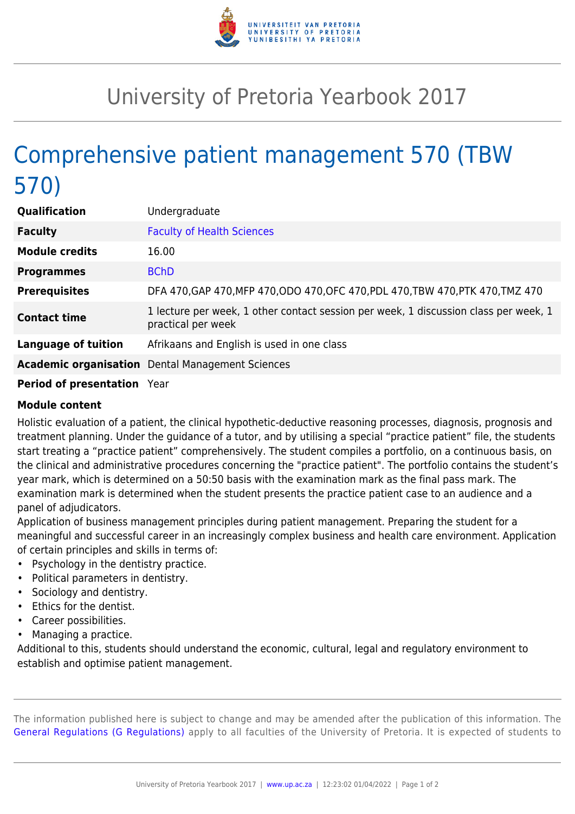

## University of Pretoria Yearbook 2017

## Comprehensive patient management 570 (TBW 570)

| Qualification              | Undergraduate                                                                                              |
|----------------------------|------------------------------------------------------------------------------------------------------------|
| <b>Faculty</b>             | <b>Faculty of Health Sciences</b>                                                                          |
| <b>Module credits</b>      | 16.00                                                                                                      |
| <b>Programmes</b>          | <b>BChD</b>                                                                                                |
| <b>Prerequisites</b>       | DFA 470, GAP 470, MFP 470, ODO 470, OFC 470, PDL 470, TBW 470, PTK 470, TMZ 470                            |
| <b>Contact time</b>        | 1 lecture per week, 1 other contact session per week, 1 discussion class per week, 1<br>practical per week |
| <b>Language of tuition</b> | Afrikaans and English is used in one class                                                                 |
|                            | <b>Academic organisation</b> Dental Management Sciences                                                    |
| _ _ _ _                    |                                                                                                            |

## **Period of presentation** Year

## **Module content**

Holistic evaluation of a patient, the clinical hypothetic-deductive reasoning processes, diagnosis, prognosis and treatment planning. Under the guidance of a tutor, and by utilising a special "practice patient" file, the students start treating a "practice patient" comprehensively. The student compiles a portfolio, on a continuous basis, on the clinical and administrative procedures concerning the "practice patient". The portfolio contains the student's year mark, which is determined on a 50:50 basis with the examination mark as the final pass mark. The examination mark is determined when the student presents the practice patient case to an audience and a panel of adjudicators.

Application of business management principles during patient management. Preparing the student for a meaningful and successful career in an increasingly complex business and health care environment. Application of certain principles and skills in terms of:

- Psychology in the dentistry practice.
- Political parameters in dentistry.
- Sociology and dentistry.
- Ethics for the dentist.
- Career possibilities.
- Managing a practice.

Additional to this, students should understand the economic, cultural, legal and regulatory environment to establish and optimise patient management.

The information published here is subject to change and may be amended after the publication of this information. The [General Regulations \(G Regulations\)](https://www.up.ac.za/faculty-of-education/yearbooks/2017/rules/view/REG) apply to all faculties of the University of Pretoria. It is expected of students to